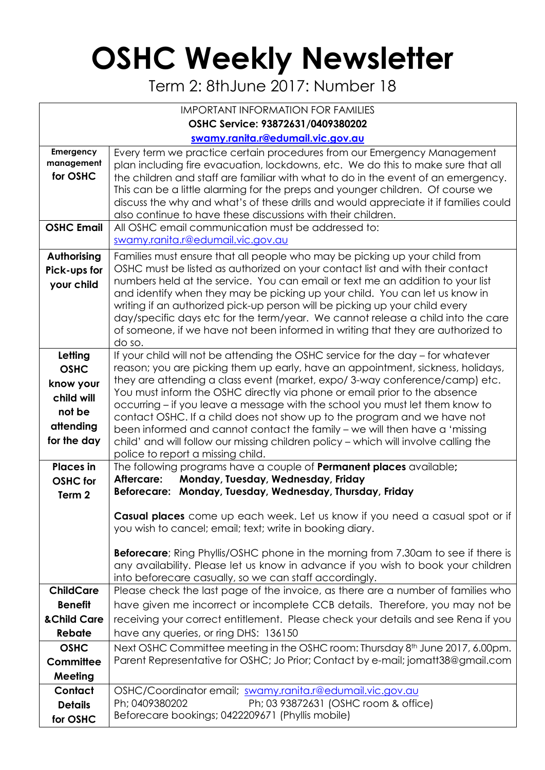## **OSHC Weekly Newsletter**

Term 2: 8thJune 2017: Number 18

| <b>IMPORTANT INFORMATION FOR FAMILIES</b>                                               |                                                                                                                                                                                                                                                                                                                                                                                                                                                                                                                                                                                                                                                                                                     |  |  |  |  |  |  |
|-----------------------------------------------------------------------------------------|-----------------------------------------------------------------------------------------------------------------------------------------------------------------------------------------------------------------------------------------------------------------------------------------------------------------------------------------------------------------------------------------------------------------------------------------------------------------------------------------------------------------------------------------------------------------------------------------------------------------------------------------------------------------------------------------------------|--|--|--|--|--|--|
| OSHC Service: 93872631/0409380202                                                       |                                                                                                                                                                                                                                                                                                                                                                                                                                                                                                                                                                                                                                                                                                     |  |  |  |  |  |  |
|                                                                                         | swamy.ranita.r@edumail.vic.gov.au                                                                                                                                                                                                                                                                                                                                                                                                                                                                                                                                                                                                                                                                   |  |  |  |  |  |  |
| Emergency<br>management<br>for OSHC                                                     | Every term we practice certain procedures from our Emergency Management<br>plan including fire evacuation, lockdowns, etc. We do this to make sure that all<br>the children and staff are familiar with what to do in the event of an emergency.<br>This can be a little alarming for the preps and younger children. Of course we<br>discuss the why and what's of these drills and would appreciate it if families could<br>also continue to have these discussions with their children.                                                                                                                                                                                                          |  |  |  |  |  |  |
| <b>OSHC Email</b>                                                                       | All OSHC email communication must be addressed to:<br>swamy.ranita.r@edumail.vic.gov.au                                                                                                                                                                                                                                                                                                                                                                                                                                                                                                                                                                                                             |  |  |  |  |  |  |
| Authorising<br>Pick-ups for<br>your child                                               | Families must ensure that all people who may be picking up your child from<br>OSHC must be listed as authorized on your contact list and with their contact<br>numbers held at the service. You can email or text me an addition to your list<br>and identify when they may be picking up your child. You can let us know in<br>writing if an authorized pick-up person will be picking up your child every<br>day/specific days etc for the term/year. We cannot release a child into the care<br>of someone, if we have not been informed in writing that they are authorized to<br>do so.                                                                                                        |  |  |  |  |  |  |
| Letting<br><b>OSHC</b><br>know your<br>child will<br>not be<br>attending<br>for the day | If your child will not be attending the OSHC service for the day - for whatever<br>reason; you are picking them up early, have an appointment, sickness, holidays,<br>they are attending a class event (market, expo/3-way conference/camp) etc.<br>You must inform the OSHC directly via phone or email prior to the absence<br>occurring – if you leave a message with the school you must let them know to<br>contact OSHC. If a child does not show up to the program and we have not<br>been informed and cannot contact the family - we will then have a 'missing<br>child' and will follow our missing children policy - which will involve calling the<br>police to report a missing child. |  |  |  |  |  |  |
| <b>Places</b> in<br><b>OSHC</b> for<br>Term <sub>2</sub>                                | The following programs have a couple of <b>Permanent places</b> available;<br>Monday, Tuesday, Wednesday, Friday<br>Aftercare:<br>Beforecare: Monday, Tuesday, Wednesday, Thursday, Friday                                                                                                                                                                                                                                                                                                                                                                                                                                                                                                          |  |  |  |  |  |  |
|                                                                                         | Casual places come up each week. Let us know if you need a casual spot or if<br>you wish to cancel; email; text; write in booking diary.<br><b>Beforecare</b> ; Ring Phyllis/OSHC phone in the morning from 7.30am to see if there is<br>any availability. Please let us know in advance if you wish to book your children<br>into beforecare casually, so we can staff accordingly.                                                                                                                                                                                                                                                                                                                |  |  |  |  |  |  |
| <b>ChildCare</b>                                                                        | Please check the last page of the invoice, as there are a number of families who                                                                                                                                                                                                                                                                                                                                                                                                                                                                                                                                                                                                                    |  |  |  |  |  |  |
| <b>Benefit</b>                                                                          | have given me incorrect or incomplete CCB details. Therefore, you may not be                                                                                                                                                                                                                                                                                                                                                                                                                                                                                                                                                                                                                        |  |  |  |  |  |  |
| & Child Care                                                                            | receiving your correct entitlement. Please check your details and see Rena if you                                                                                                                                                                                                                                                                                                                                                                                                                                                                                                                                                                                                                   |  |  |  |  |  |  |
| Rebate                                                                                  | have any queries, or ring DHS: 136150                                                                                                                                                                                                                                                                                                                                                                                                                                                                                                                                                                                                                                                               |  |  |  |  |  |  |
| <b>OSHC</b>                                                                             | Next OSHC Committee meeting in the OSHC room: Thursday 8 <sup>th</sup> June 2017, 6.00pm.                                                                                                                                                                                                                                                                                                                                                                                                                                                                                                                                                                                                           |  |  |  |  |  |  |
| Committee                                                                               | Parent Representative for OSHC; Jo Prior; Contact by e-mail; jomatt38@gmail.com                                                                                                                                                                                                                                                                                                                                                                                                                                                                                                                                                                                                                     |  |  |  |  |  |  |
| Meeting                                                                                 |                                                                                                                                                                                                                                                                                                                                                                                                                                                                                                                                                                                                                                                                                                     |  |  |  |  |  |  |
| Contact<br><b>Details</b><br>for OSHC                                                   | OSHC/Coordinator email; swamy.ranita.r@edumail.vic.gov.au<br>Ph; 0409380202<br>Ph; 03 93872631 (OSHC room & office)<br>Beforecare bookings; 0422209671 (Phyllis mobile)                                                                                                                                                                                                                                                                                                                                                                                                                                                                                                                             |  |  |  |  |  |  |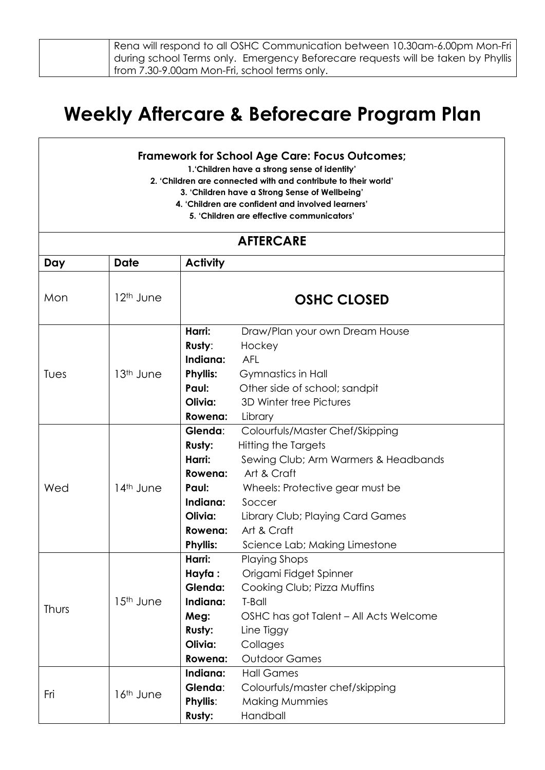| Rena will respond to all OSHC Communication between 10.30am-6.00pm Mon-Fri        |
|-----------------------------------------------------------------------------------|
| during school Terms only.  Emergency Beforecare requests will be taken by Phyllis |
| from 7.30-9.00am Mon-Fri, school terms only.                                      |

## **Weekly Aftercare & Beforecare Program Plan**

## **Framework for School Age Care: Focus Outcomes;**

**1.'Children have a strong sense of identity'**

**2. 'Children are connected with and contribute to their world'**

**3. 'Children have a Strong Sense of Wellbeing'**

- **4. 'Children are confident and involved learners'**
	- **5. 'Children are effective communicators'**

## **AFTERCARE**

| Day          | <b>Date</b>           | <b>Activity</b>                                                                                             |                                                                                                                                                                                                                                                |
|--------------|-----------------------|-------------------------------------------------------------------------------------------------------------|------------------------------------------------------------------------------------------------------------------------------------------------------------------------------------------------------------------------------------------------|
| Mon          | 12 <sup>th</sup> June |                                                                                                             | <b>OSHC CLOSED</b>                                                                                                                                                                                                                             |
| Tues         | 13 <sup>th</sup> June | Harri:<br>Rusty:<br>Indiana:<br><b>Phyllis:</b><br>Paul:<br>Olivia:<br>Rowena:                              | Draw/Plan your own Dream House<br>Hockey<br><b>AFL</b><br><b>Gymnastics in Hall</b><br>Other side of school; sandpit<br>3D Winter tree Pictures<br>Library                                                                                     |
| Wed          | 14 <sup>th</sup> June | Glenda:<br><b>Rusty:</b><br>Harri:<br>Rowena:<br>Paul:<br>Indiana:<br>Olivia:<br>Rowena:<br><b>Phyllis:</b> | Colourfuls/Master Chef/Skipping<br>Hitting the Targets<br>Sewing Club; Arm Warmers & Headbands<br>Art & Craft<br>Wheels: Protective gear must be<br>Soccer<br>Library Club; Playing Card Games<br>Art & Craft<br>Science Lab; Making Limestone |
| <b>Thurs</b> | 15 <sup>th</sup> June | Harri:<br>Hayfa:<br>Glenda:<br>Indiana:<br>Meg:<br><b>Rusty:</b><br>Olivia:<br>Rowena:                      | <b>Playing Shops</b><br>Origami Fidget Spinner<br>Cooking Club; Pizza Muffins<br>T-Ball<br>OSHC has got Talent - All Acts Welcome<br>Line Tiggy<br>Collages<br><b>Outdoor Games</b>                                                            |
| Fri          | 16th June             | Indiana:<br>Glenda:<br>Phyllis:<br>Rusty:                                                                   | <b>Hall Games</b><br>Colourfuls/master chef/skipping<br><b>Making Mummies</b><br>Handball                                                                                                                                                      |